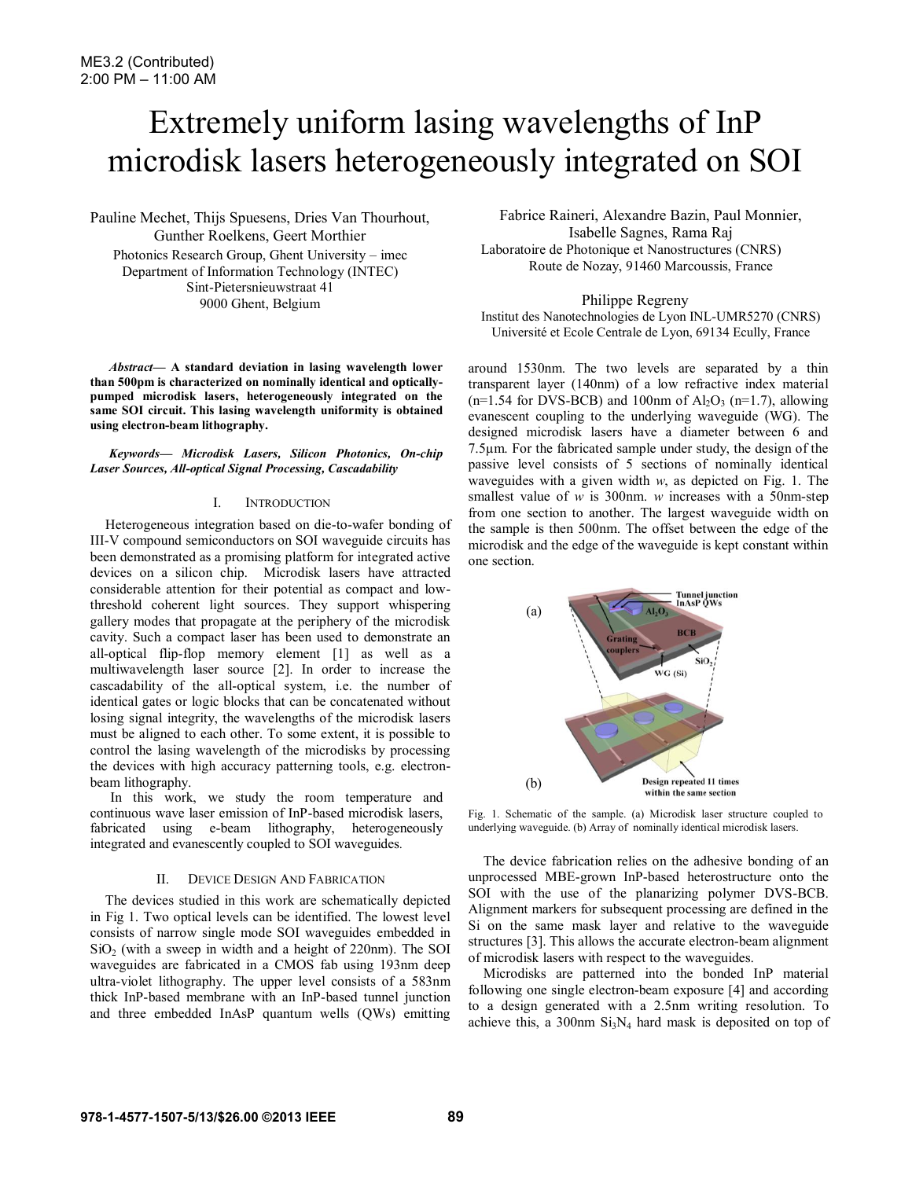# Extremely uniform lasing wavelengths of InP microdisk lasers heterogeneously integrated on SOI

Pauline Mechet, Thijs Spuesens, Dries Van Thourhout, Gunther Roelkens, Geert Morthier Photonics Research Group, Ghent University – imec Department of Information Technology (INTEC) Sint-Pietersnieuwstraat 41 9000 Ghent, Belgium

*Abstract***— A standard deviation in lasing wavelength lower than 500pm is characterized on nominally identical and opticallypumped microdisk lasers, heterogeneously integrated on the same SOI circuit. This lasing wavelength uniformity is obtained using electron-beam lithography.** 

*Keywords— Microdisk Lasers, Silicon Photonics, On-chip Laser Sources, All-optical Signal Processing, Cascadability* 

## I. INTRODUCTION

Heterogeneous integration based on die-to-wafer bonding of III-V compound semiconductors on SOI waveguide circuits has been demonstrated as a promising platform for integrated active devices on a silicon chip. Microdisk lasers have attracted considerable attention for their potential as compact and lowthreshold coherent light sources. They support whispering gallery modes that propagate at the periphery of the microdisk cavity. Such a compact laser has been used to demonstrate an all-optical flip-flop memory element [1] as well as a multiwavelength laser source [2]. In order to increase the cascadability of the all-optical system, i.e. the number of identical gates or logic blocks that can be concatenated without losing signal integrity, the wavelengths of the microdisk lasers must be aligned to each other. To some extent, it is possible to control the lasing wavelength of the microdisks by processing the devices with high accuracy patterning tools, e.g. electronbeam lithography.

 In this work, we study the room temperature and continuous wave laser emission of InP-based microdisk lasers, fabricated using e-beam lithography, heterogeneously integrated and evanescently coupled to SOI waveguides*.* 

## II. DEVICE DESIGN AND FABRICATION

The devices studied in this work are schematically depicted in Fig 1. Two optical levels can be identified. The lowest level consists of narrow single mode SOI waveguides embedded in  $SiO<sub>2</sub>$  (with a sweep in width and a height of 220nm). The SOI waveguides are fabricated in a CMOS fab using 193nm deep ultra-violet lithography. The upper level consists of a 583nm thick InP-based membrane with an InP-based tunnel junction and three embedded InAsP quantum wells (QWs) emitting

Fabrice Raineri, Alexandre Bazin, Paul Monnier, Isabelle Sagnes, Rama Raj Laboratoire de Photonique et Nanostructures (CNRS) Route de Nozay, 91460 Marcoussis, France

Philippe Regreny

Institut des Nanotechnologies de Lyon INL-UMR5270 (CNRS) Université et Ecole Centrale de Lyon, 69134 Ecully, France

around 1530nm. The two levels are separated by a thin transparent layer (140nm) of a low refractive index material  $(n=1.54$  for DVS-BCB) and 100nm of  $Al_2O_3$   $(n=1.7)$ , allowing evanescent coupling to the underlying waveguide (WG). The designed microdisk lasers have a diameter between 6 and 7.5µm. For the fabricated sample under study, the design of the passive level consists of 5 sections of nominally identical waveguides with a given width *w*, as depicted on Fig. 1. The smallest value of *w* is 300nm. *w* increases with a 50nm-step from one section to another. The largest waveguide width on the sample is then 500nm. The offset between the edge of the microdisk and the edge of the waveguide is kept constant within one section.



Fig. 1. Schematic of the sample. (a) Microdisk laser structure coupled to underlying waveguide. (b) Array of nominally identical microdisk lasers.

The device fabrication relies on the adhesive bonding of an unprocessed MBE-grown InP-based heterostructure onto the SOI with the use of the planarizing polymer DVS-BCB. Alignment markers for subsequent processing are defined in the Si on the same mask layer and relative to the waveguide structures [3]. This allows the accurate electron-beam alignment of microdisk lasers with respect to the waveguides.

Microdisks are patterned into the bonded InP material following one single electron-beam exposure [4] and according to a design generated with a 2.5nm writing resolution. To achieve this, a 300nm  $Si<sub>3</sub>N<sub>4</sub>$  hard mask is deposited on top of